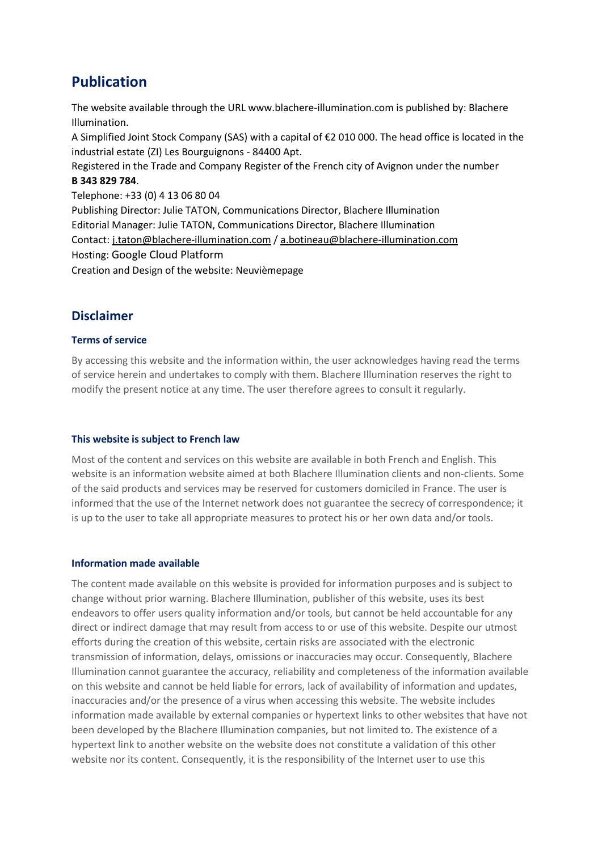# **Publication**

The website available through the URL www.blachere-illumination.com is published by: Blachere Illumination.

A Simplified Joint Stock Company (SAS) with a capital of €2 010 000. The head office is located in the industrial estate (ZI) Les Bourguignons - 84400 Apt.

Registered in the Trade and Company Register of the French city of Avignon under the number **B 343 829 784**.

Telephone: +33 (0) 4 13 06 80 04

Publishing Director: Julie TATON, Communications Director, Blachere Illumination Editorial Manager: Julie TATON, Communications Director, Blachere Illumination Contact: [j.taton@blachere-illumination.com](mailto:j.taton@blachere-illumination.com) / [a.botineau@blachere-illumination.com](mailto:a.botineau@blachere-illumination.com) Hosting: Google Cloud Platform Creation and Design of the website: Neuvièmepage

# **Disclaimer**

# **Terms of service**

By accessing this website and the information within, the user acknowledges having read the terms of service herein and undertakes to comply with them. Blachere Illumination reserves the right to modify the present notice at any time. The user therefore agrees to consult it regularly.

# **This website is subject to French law**

Most of the content and services on this website are available in both French and English. This website is an information website aimed at both Blachere Illumination clients and non-clients. Some of the said products and services may be reserved for customers domiciled in France. The user is informed that the use of the Internet network does not guarantee the secrecy of correspondence; it is up to the user to take all appropriate measures to protect his or her own data and/or tools.

# **Information made available**

The content made available on this website is provided for information purposes and is subject to change without prior warning. Blachere Illumination, publisher of this website, uses its best endeavors to offer users quality information and/or tools, but cannot be held accountable for any direct or indirect damage that may result from access to or use of this website. Despite our utmost efforts during the creation of this website, certain risks are associated with the electronic transmission of information, delays, omissions or inaccuracies may occur. Consequently, Blachere Illumination cannot guarantee the accuracy, reliability and completeness of the information available on this website and cannot be held liable for errors, lack of availability of information and updates, inaccuracies and/or the presence of a virus when accessing this website. The website includes information made available by external companies or hypertext links to other websites that have not been developed by the Blachere Illumination companies, but not limited to. The existence of a hypertext link to another website on the website does not constitute a validation of this other website nor its content. Consequently, it is the responsibility of the Internet user to use this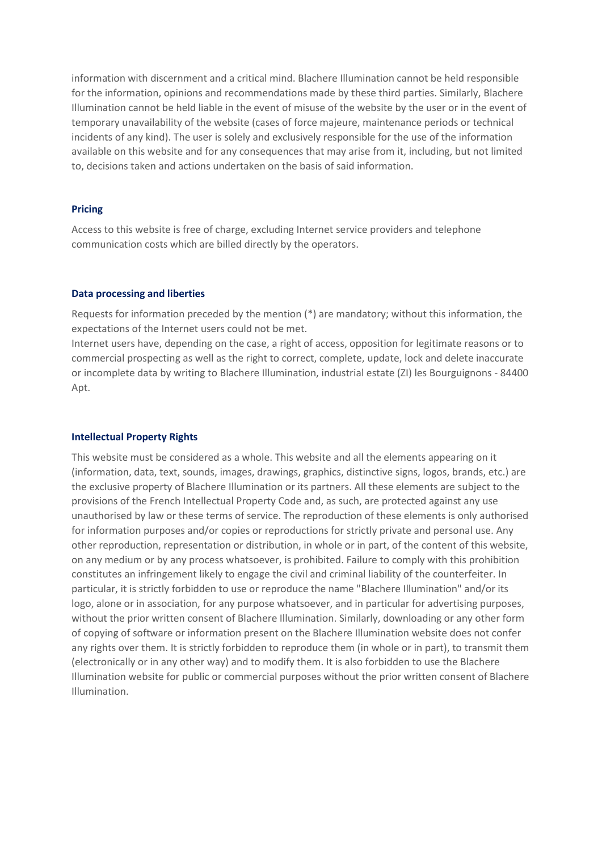information with discernment and a critical mind. Blachere Illumination cannot be held responsible for the information, opinions and recommendations made by these third parties. Similarly, Blachere Illumination cannot be held liable in the event of misuse of the website by the user or in the event of temporary unavailability of the website (cases of force majeure, maintenance periods or technical incidents of any kind). The user is solely and exclusively responsible for the use of the information available on this website and for any consequences that may arise from it, including, but not limited to, decisions taken and actions undertaken on the basis of said information.

#### **Pricing**

Access to this website is free of charge, excluding Internet service providers and telephone communication costs which are billed directly by the operators.

#### **Data processing and liberties**

Requests for information preceded by the mention (\*) are mandatory; without this information, the expectations of the Internet users could not be met.

Internet users have, depending on the case, a right of access, opposition for legitimate reasons or to commercial prospecting as well as the right to correct, complete, update, lock and delete inaccurate or incomplete data by writing to Blachere Illumination, industrial estate (ZI) les Bourguignons - 84400 Apt.

#### **Intellectual Property Rights**

This website must be considered as a whole. This website and all the elements appearing on it (information, data, text, sounds, images, drawings, graphics, distinctive signs, logos, brands, etc.) are the exclusive property of Blachere Illumination or its partners. All these elements are subject to the provisions of the French Intellectual Property Code and, as such, are protected against any use unauthorised by law or these terms of service. The reproduction of these elements is only authorised for information purposes and/or copies or reproductions for strictly private and personal use. Any other reproduction, representation or distribution, in whole or in part, of the content of this website, on any medium or by any process whatsoever, is prohibited. Failure to comply with this prohibition constitutes an infringement likely to engage the civil and criminal liability of the counterfeiter. In particular, it is strictly forbidden to use or reproduce the name "Blachere Illumination" and/or its logo, alone or in association, for any purpose whatsoever, and in particular for advertising purposes, without the prior written consent of Blachere Illumination. Similarly, downloading or any other form of copying of software or information present on the Blachere Illumination website does not confer any rights over them. It is strictly forbidden to reproduce them (in whole or in part), to transmit them (electronically or in any other way) and to modify them. It is also forbidden to use the Blachere Illumination website for public or commercial purposes without the prior written consent of Blachere Illumination.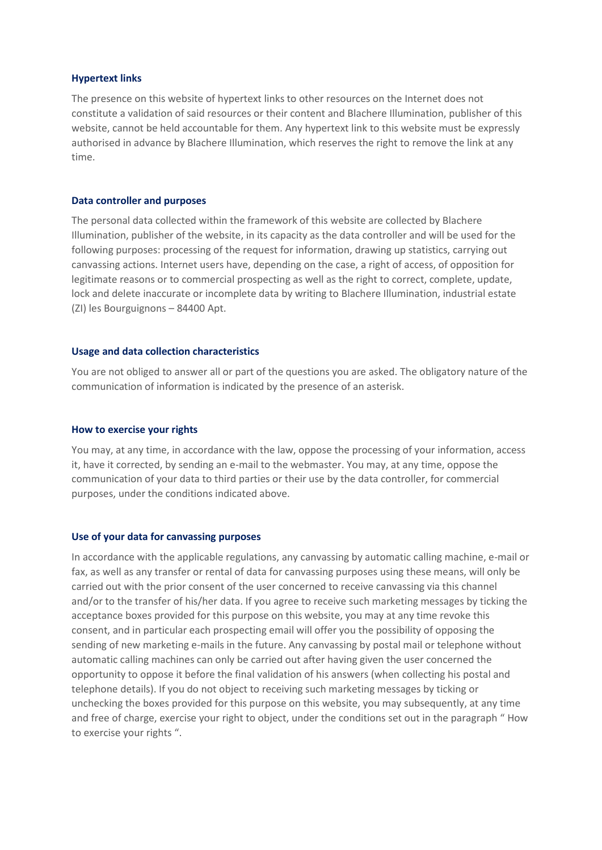#### **Hypertext links**

The presence on this website of hypertext links to other resources on the Internet does not constitute a validation of said resources or their content and Blachere Illumination, publisher of this website, cannot be held accountable for them. Any hypertext link to this website must be expressly authorised in advance by Blachere Illumination, which reserves the right to remove the link at any time.

#### **Data controller and purposes**

The personal data collected within the framework of this website are collected by Blachere Illumination, publisher of the website, in its capacity as the data controller and will be used for the following purposes: processing of the request for information, drawing up statistics, carrying out canvassing actions. Internet users have, depending on the case, a right of access, of opposition for legitimate reasons or to commercial prospecting as well as the right to correct, complete, update, lock and delete inaccurate or incomplete data by writing to Blachere Illumination, industrial estate (ZI) les Bourguignons – 84400 Apt.

#### **Usage and data collection characteristics**

You are not obliged to answer all or part of the questions you are asked. The obligatory nature of the communication of information is indicated by the presence of an asterisk.

#### **How to exercise your rights**

You may, at any time, in accordance with the law, oppose the processing of your information, access it, have it corrected, by sending an e-mail to the webmaster. You may, at any time, oppose the communication of your data to third parties or their use by the data controller, for commercial purposes, under the conditions indicated above.

#### **Use of your data for canvassing purposes**

In accordance with the applicable regulations, any canvassing by automatic calling machine, e-mail or fax, as well as any transfer or rental of data for canvassing purposes using these means, will only be carried out with the prior consent of the user concerned to receive canvassing via this channel and/or to the transfer of his/her data. If you agree to receive such marketing messages by ticking the acceptance boxes provided for this purpose on this website, you may at any time revoke this consent, and in particular each prospecting email will offer you the possibility of opposing the sending of new marketing e-mails in the future. Any canvassing by postal mail or telephone without automatic calling machines can only be carried out after having given the user concerned the opportunity to oppose it before the final validation of his answers (when collecting his postal and telephone details). If you do not object to receiving such marketing messages by ticking or unchecking the boxes provided for this purpose on this website, you may subsequently, at any time and free of charge, exercise your right to object, under the conditions set out in the paragraph " How to exercise your rights ".